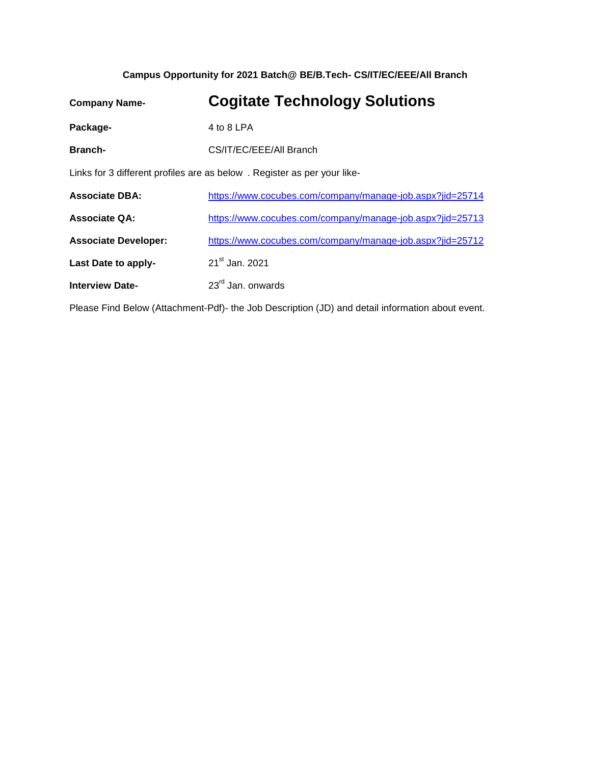## **Campus Opportunity for 2021 Batch@ BE/B.Tech- CS/IT/EC/EEE/All Branch**

| <b>Company Name-</b>                                                    | <b>Cogitate Technology Solutions</b>                      |  |  |  |
|-------------------------------------------------------------------------|-----------------------------------------------------------|--|--|--|
| Package-                                                                | 4 to 8 LPA                                                |  |  |  |
| <b>Branch-</b>                                                          | CS/IT/EC/EEE/All Branch                                   |  |  |  |
| Links for 3 different profiles are as below. Register as per your like- |                                                           |  |  |  |
| <b>Associate DBA:</b>                                                   | https://www.cocubes.com/company/manage-job.aspx?jid=25714 |  |  |  |
| <b>Associate QA:</b>                                                    | https://www.cocubes.com/company/manage-job.aspx?jid=25713 |  |  |  |
| <b>Associate Developer:</b>                                             | https://www.cocubes.com/company/manage-job.aspx?jid=25712 |  |  |  |
| Last Date to apply-                                                     | 21 <sup>st</sup> Jan. 2021                                |  |  |  |
| <b>Interview Date-</b>                                                  | $23rd$ Jan. onwards                                       |  |  |  |

Please Find Below (Attachment-Pdf)- the Job Description (JD) and detail information about event.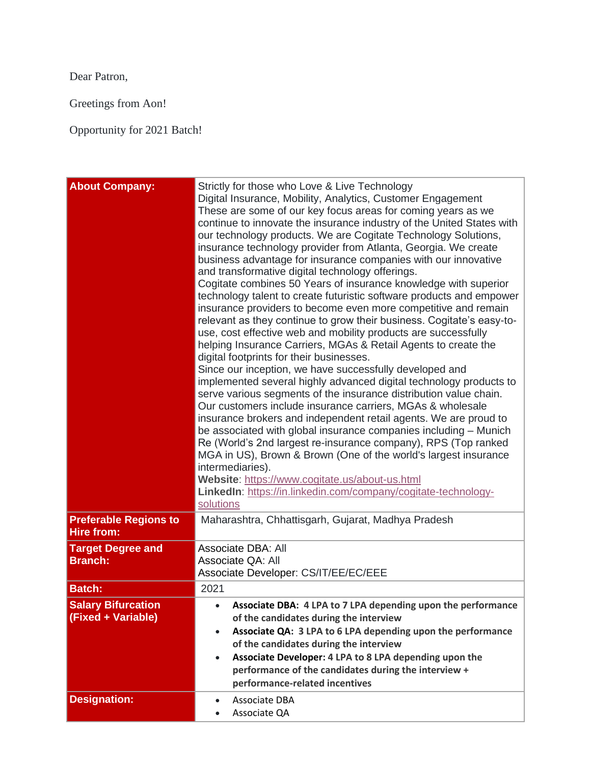Dear Patron,

Greetings from Aon!

Opportunity for 2021 Batch!

| <b>About Company:</b>                             | Strictly for those who Love & Live Technology<br>Digital Insurance, Mobility, Analytics, Customer Engagement<br>These are some of our key focus areas for coming years as we<br>continue to innovate the insurance industry of the United States with<br>our technology products. We are Cogitate Technology Solutions,<br>insurance technology provider from Atlanta, Georgia. We create<br>business advantage for insurance companies with our innovative<br>and transformative digital technology offerings.<br>Cogitate combines 50 Years of insurance knowledge with superior<br>technology talent to create futuristic software products and empower<br>insurance providers to become even more competitive and remain<br>relevant as they continue to grow their business. Cogitate's easy-to-<br>use, cost effective web and mobility products are successfully<br>helping Insurance Carriers, MGAs & Retail Agents to create the<br>digital footprints for their businesses.<br>Since our inception, we have successfully developed and<br>implemented several highly advanced digital technology products to<br>serve various segments of the insurance distribution value chain.<br>Our customers include insurance carriers, MGAs & wholesale<br>insurance brokers and independent retail agents. We are proud to<br>be associated with global insurance companies including - Munich<br>Re (World's 2nd largest re-insurance company), RPS (Top ranked<br>MGA in US), Brown & Brown (One of the world's largest insurance<br>intermediaries).<br>Website: https://www.cogitate.us/about-us.html<br>LinkedIn: https://in.linkedin.com/company/cogitate-technology-<br>solutions |  |  |  |
|---------------------------------------------------|---------------------------------------------------------------------------------------------------------------------------------------------------------------------------------------------------------------------------------------------------------------------------------------------------------------------------------------------------------------------------------------------------------------------------------------------------------------------------------------------------------------------------------------------------------------------------------------------------------------------------------------------------------------------------------------------------------------------------------------------------------------------------------------------------------------------------------------------------------------------------------------------------------------------------------------------------------------------------------------------------------------------------------------------------------------------------------------------------------------------------------------------------------------------------------------------------------------------------------------------------------------------------------------------------------------------------------------------------------------------------------------------------------------------------------------------------------------------------------------------------------------------------------------------------------------------------------------------------------------------------------------------------------------------------------------------|--|--|--|
| <b>Preferable Regions to</b><br><b>Hire from:</b> | Maharashtra, Chhattisgarh, Gujarat, Madhya Pradesh                                                                                                                                                                                                                                                                                                                                                                                                                                                                                                                                                                                                                                                                                                                                                                                                                                                                                                                                                                                                                                                                                                                                                                                                                                                                                                                                                                                                                                                                                                                                                                                                                                          |  |  |  |
| <b>Target Degree and</b><br><b>Branch:</b>        | Associate DBA: All<br>Associate QA: All<br>Associate Developer: CS/IT/EE/EC/EEE                                                                                                                                                                                                                                                                                                                                                                                                                                                                                                                                                                                                                                                                                                                                                                                                                                                                                                                                                                                                                                                                                                                                                                                                                                                                                                                                                                                                                                                                                                                                                                                                             |  |  |  |
| <b>Batch:</b>                                     | 2021                                                                                                                                                                                                                                                                                                                                                                                                                                                                                                                                                                                                                                                                                                                                                                                                                                                                                                                                                                                                                                                                                                                                                                                                                                                                                                                                                                                                                                                                                                                                                                                                                                                                                        |  |  |  |
| <b>Salary Bifurcation</b><br>(Fixed + Variable)   | Associate DBA: 4 LPA to 7 LPA depending upon the performance<br>of the candidates during the interview<br>Associate QA: 3 LPA to 6 LPA depending upon the performance<br>$\bullet$<br>of the candidates during the interview<br>Associate Developer: 4 LPA to 8 LPA depending upon the<br>$\bullet$<br>performance of the candidates during the interview +<br>performance-related incentives                                                                                                                                                                                                                                                                                                                                                                                                                                                                                                                                                                                                                                                                                                                                                                                                                                                                                                                                                                                                                                                                                                                                                                                                                                                                                               |  |  |  |
| <b>Designation:</b>                               | Associate DBA<br>$\bullet$<br>Associate QA                                                                                                                                                                                                                                                                                                                                                                                                                                                                                                                                                                                                                                                                                                                                                                                                                                                                                                                                                                                                                                                                                                                                                                                                                                                                                                                                                                                                                                                                                                                                                                                                                                                  |  |  |  |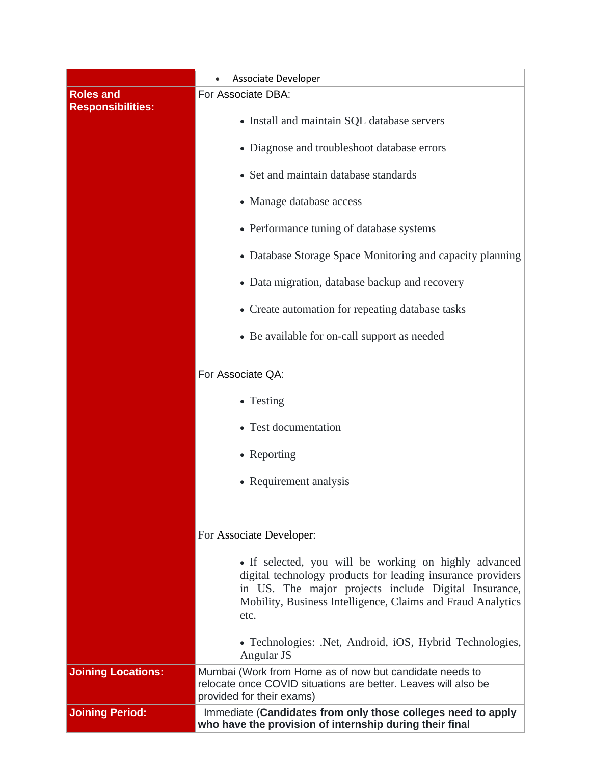|                                              | Associate Developer                                                                                                                                                                                                                                 |  |  |  |
|----------------------------------------------|-----------------------------------------------------------------------------------------------------------------------------------------------------------------------------------------------------------------------------------------------------|--|--|--|
| <b>Roles and</b><br><b>Responsibilities:</b> | For Associate DBA:                                                                                                                                                                                                                                  |  |  |  |
|                                              | • Install and maintain SQL database servers                                                                                                                                                                                                         |  |  |  |
|                                              | • Diagnose and troubleshoot database errors                                                                                                                                                                                                         |  |  |  |
|                                              | • Set and maintain database standards                                                                                                                                                                                                               |  |  |  |
|                                              | • Manage database access                                                                                                                                                                                                                            |  |  |  |
|                                              | • Performance tuning of database systems                                                                                                                                                                                                            |  |  |  |
|                                              | • Database Storage Space Monitoring and capacity planning                                                                                                                                                                                           |  |  |  |
|                                              | • Data migration, database backup and recovery                                                                                                                                                                                                      |  |  |  |
|                                              | • Create automation for repeating database tasks                                                                                                                                                                                                    |  |  |  |
|                                              | • Be available for on-call support as needed                                                                                                                                                                                                        |  |  |  |
|                                              | For Associate QA:                                                                                                                                                                                                                                   |  |  |  |
|                                              | • Testing                                                                                                                                                                                                                                           |  |  |  |
|                                              | • Test documentation                                                                                                                                                                                                                                |  |  |  |
|                                              | • Reporting                                                                                                                                                                                                                                         |  |  |  |
|                                              | • Requirement analysis                                                                                                                                                                                                                              |  |  |  |
|                                              |                                                                                                                                                                                                                                                     |  |  |  |
|                                              | For Associate Developer:                                                                                                                                                                                                                            |  |  |  |
|                                              | • If selected, you will be working on highly advanced<br>digital technology products for leading insurance providers<br>in US. The major projects include Digital Insurance,<br>Mobility, Business Intelligence, Claims and Fraud Analytics<br>etc. |  |  |  |
|                                              | • Technologies: .Net, Android, iOS, Hybrid Technologies,<br>Angular JS                                                                                                                                                                              |  |  |  |
| <b>Joining Locations:</b>                    | Mumbai (Work from Home as of now but candidate needs to<br>relocate once COVID situations are better. Leaves will also be<br>provided for their exams)                                                                                              |  |  |  |
| <b>Joining Period:</b>                       | Immediate (Candidates from only those colleges need to apply<br>who have the provision of internship during their final                                                                                                                             |  |  |  |